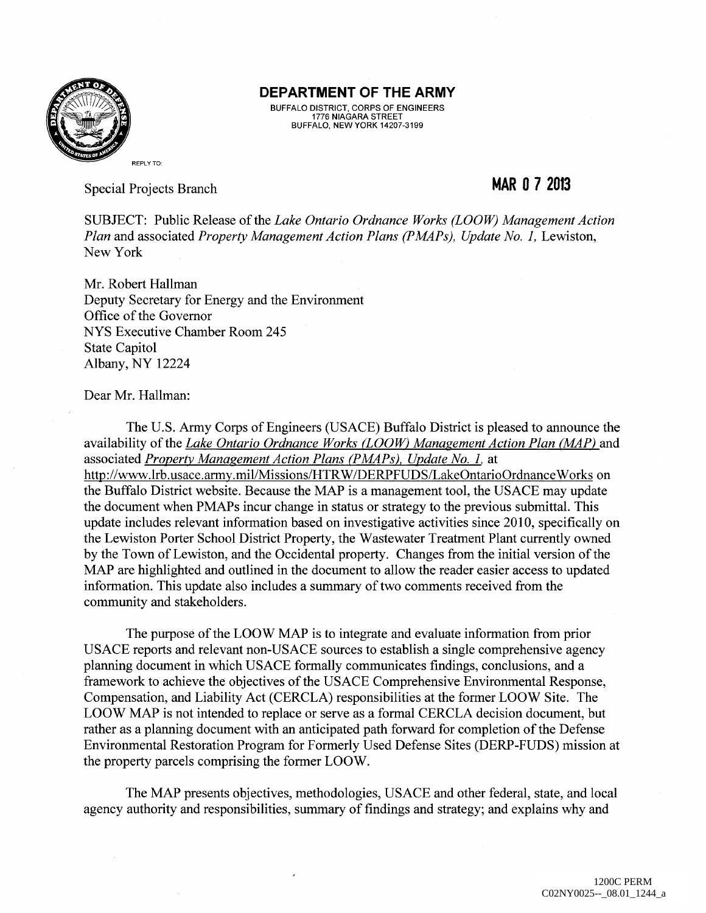

BUFFALO DISTRICT, CORPS OF ENGINEERS 1776 NIAGARA STREET BUFFALO, NEW YORK 14207-3199

Special Projects Branch

# **MAR 0 7 2013**

SUBJECT: Public Release of the *Lake Ontario Ordnance Works (LOOW) Management Action Plan and associated Property Management Action Plans (PMAPs), Update No. 1, Lewiston,* New York

Mr. Robert Hallman Deputy Secretary for Energy and the Environment Office of the Governor NYS Executive Chamber Room 245 State Capitol Albany, NY 12224

#### Dear Mr. Hallman:

The U.S. Army Corps of Engineers (USACE) Buffalo District is pleased to announce the availability of the *Lake Ontario Ordnance Works (LOOW) Management Action Plan (MAP)* and associated *Property Management Action Plans (PMAPs), Update No. 1,* at http://www.lrb.usace.army.mil/Missions/HTRW/DERPFUDS/LakeOntarioOrdnanceWorks on the Buffalo District website. Because the MAP is a management tool, the USACE may update the document when PMAPs incur change in status or strategy to the previous submittal. This update includes relevant information based on investigative activities since 2010, specifically on the Lewiston Porter School District Property, the Wastewater Treatment Plant currently owned by the Town of Lewiston, and the Occidental property. Changes from the initial version of the MAP are highlighted and outlined in the document to allow the reader easier access to updated information. This update also includes a summary of two comments received from the community and stakeholders.

The purpose of the LOOW MAP is to integrate and evaluate information from prior USACE reports and relevant non-USACE sources to establish a single comprehensive agency planning document in which USACE formally communicates findings, conclusions, and a framework to achieve the objectives of the USACE Comprehensive Environmental Response, Compensation, and Liability Act (CERCLA) responsibilities at the former LOOW Site. The LOOW MAP is not intended to replace or serve as a formal CERCLA decision document, but rather as a planning document with an anticipated path forward for completion of the Defense Environmental Restoration Program for Formerly Used Defense Sites (DERP-FUDS) mission at the property parcels comprising the former LOOW.

The MAP presents objectives, methodologies, USACE and other federal, state, and local agency authority and responsibilities, summary of findings and strategy; and explains why and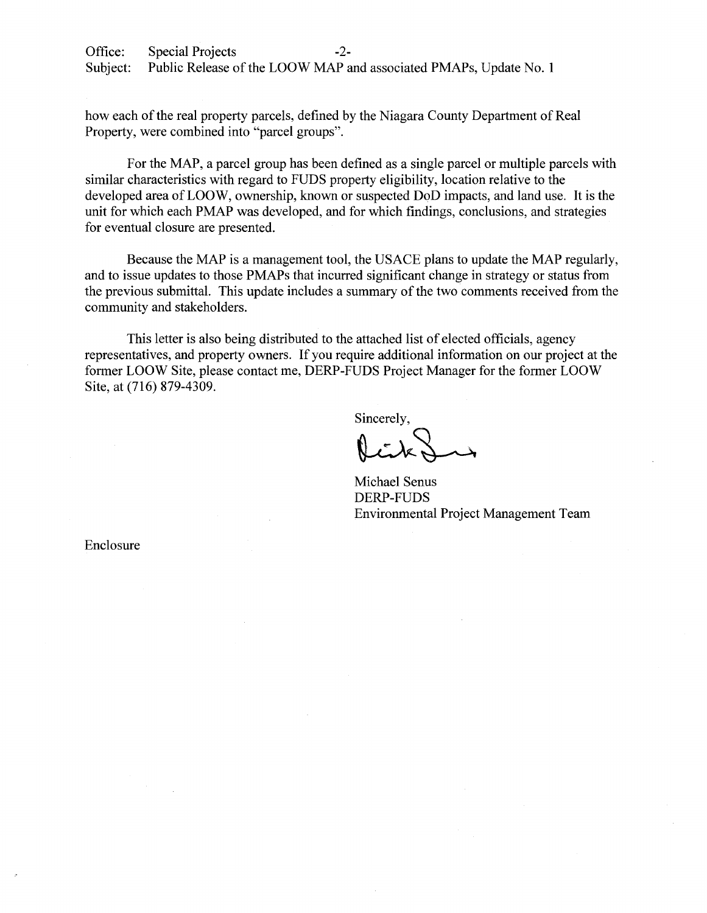Office: Special Projects -2-<br>Subject: Public Release of the LOOW MAP a Public Release of the LOOW MAP and associated PMAPs, Update No. 1

how each of the real property parcels, defined by the Niagara County Department of Real Property, were combined into "parcel groups".

For the MAP, a parcel group has been defined as a single parcel or multiple parcels with similar characteristics with regard to FUDS property eligibility, location relative to the developed area of LOOW, ownership, known or suspected DoD impacts, and land use. It is the unit for which each PMAP was developed, and for which findings, conclusions, and strategies for eventual closure are presented.

Because the MAP is a management tool, the USACE plans to update the MAP regularly, and to issue updates to those PMAPs that incurred significant change in strategy or status from the previous submittal. This update includes a summary of the two comments received from the community and stakeholders.

This letter is also being distributed to the attached list of elected officials, agency representatives, and property owners. If you require additional information on our project at the former LOOW Site, please contact me, DERP-FUDS Project Manager for the former LOOW Site, at (716) 879-4309.

Sincerely,

sincerely,<br> $\overbrace{\phantom{xxxxx}}^{\text{Sincerely}},$ 

Michael Senus DERP-FUDS Environmental Project Management Team

Enclosure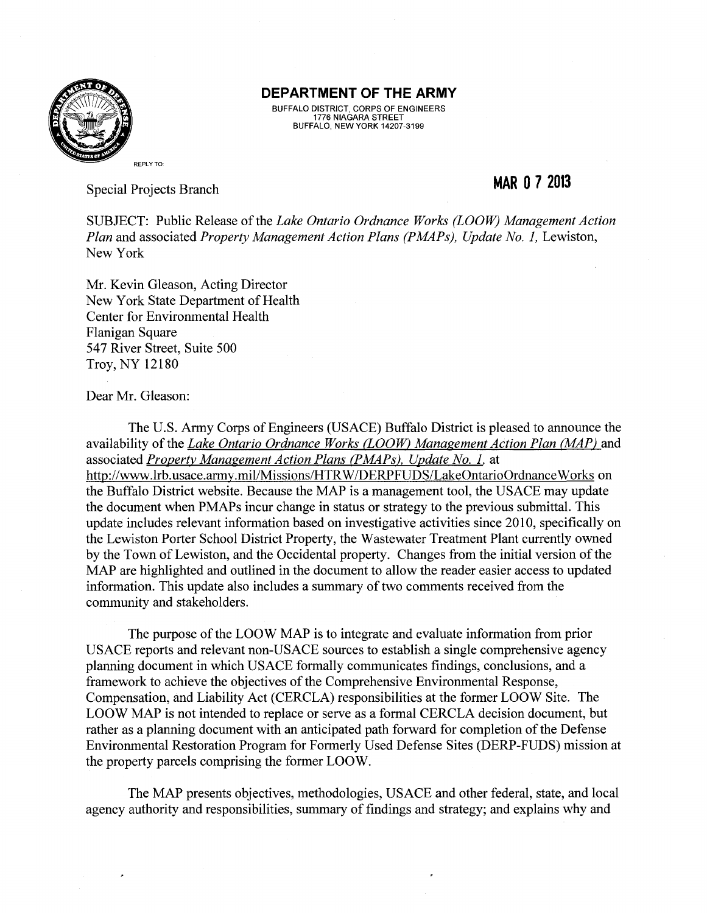

BUFFALO DISTRICT, CORPS OF ENGINEERS 1776 NIAGARA STREET BUFFALO, NEW YORK 14207-3199

Special Projects Branch

### **MAR 0 7 2013**

SUBJECT: Public Release of the *Lake Ontario Ordnance Works (LOOW) Management Action Plan and associated Property Management Action Plans (PMAPs), Update No. 1, Lewiston,* New York

Mr. Kevin Gleason, Acting Director New York State Department of Health Center for Environmental Health Flanigan Square 547 River Street, Suite 500 Troy, NY 12180

### Dear Mr. Gleason:

The U.S. Army Corps of Engineers (USACE) Buffalo District is pleased to announce the availability of the *Lake Ontario Ordnance Works (LOOW) Management Action Plan (MAP)* and associated *Property Management Action Plans (PMAPs), Update No. 1.* at http://www.lrb.usace.army.mil/Missions/HTRW/DERPFUDS/LakeOntarioOrdnanceWorks on the Buffalo District website. Because the MAP is a management tool, the USACE may update the document when PMAPs incur change in status or strategy to the previous submittal. This update includes relevant information based on investigative activities since 2010, specifically on the Lewiston Porter School District Property, the Wastewater Treatment Plant currently owned by the Town of Lewiston, and the Occidental property. Changes from the initial version of the MAP are highlighted and outlined in the document to allow the reader easier access to updated information. This update also includes a summary of two comments received from the community and stakeholders.

The purpose of the LOOW MAP is to integrate and evaluate information from prior USACE reports and relevant non-USACE sources to establish a single comprehensive agency planning document in which USACE formally communicates findings, conclusions, and a framework to achieve the objectives of the Comprehensive Environmental Response, Compensation, and Liability Act (CERCLA) responsibilities at the former LOOW Site. The LOOW MAP is not intended to replace or serve as a formal CERCLA decision document, but rather as a planning document with an anticipated path forward for completion of the Defense Environmental Restoration Program for Formerly Used Defense Sites (DERP-FUDS) mission at the property parcels comprising the former LOOW.

The MAP presents objectives, methodologies, USACE and other federal, state, and local agency authority and responsibilities, summary of findings and strategy; and explains why and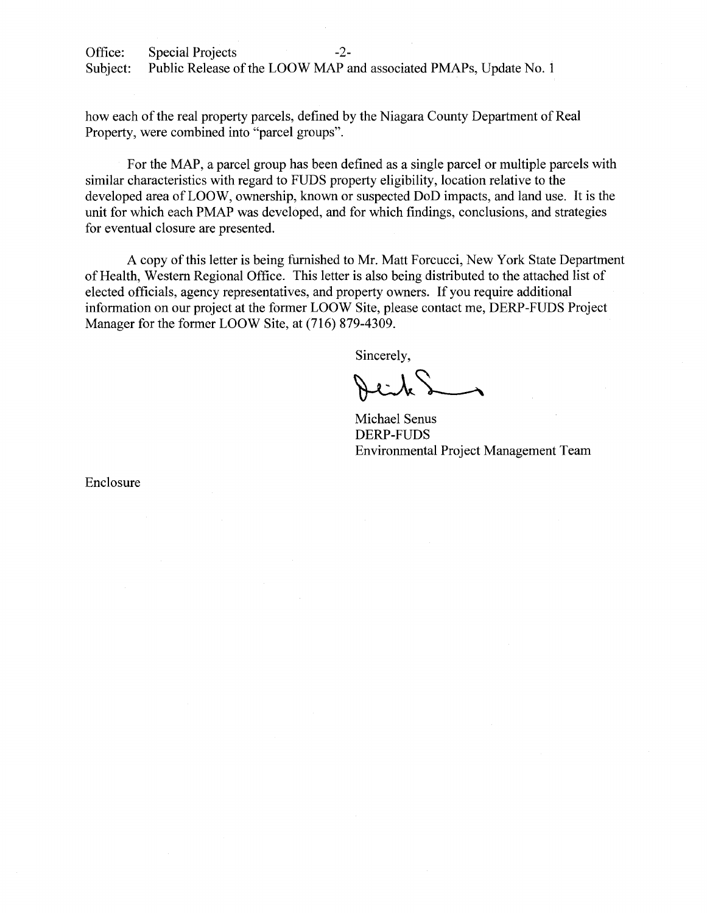Office: Special Projects -2-Subject: Public Release of the LOOW MAP and associated PMAPs, Update No. 1

how each of the real property parcels, defined by the Niagara County Department of Real Property, were combined into "parcel groups".

For the MAP, a parcel group has been defined as a single parcel or multiple parcels with similar characteristics with regard to FUDS property eligibility, location relative to the developed area of LOOW, ownership, known or suspected DoD impacts, and land use. It is the unit for which each PMAP was developed, and for which findings, conclusions, and strategies for eventual closure are presented.

A copy of this letter is being furnished to Mr. Matt Forcucci, New York State Department of Health, Western Regional Office. This letter is also being distributed to the attached list of elected officials, agency representatives, and property owners. If you require additional information on our project at the former LOOW Site, please contact me, DERP-FUDS Project Manager for the former LOOW Site, at (716) 879-4309.

Sincerely,

Michael Senus DERP-FUDS Environmental Project Management Team

Enclosure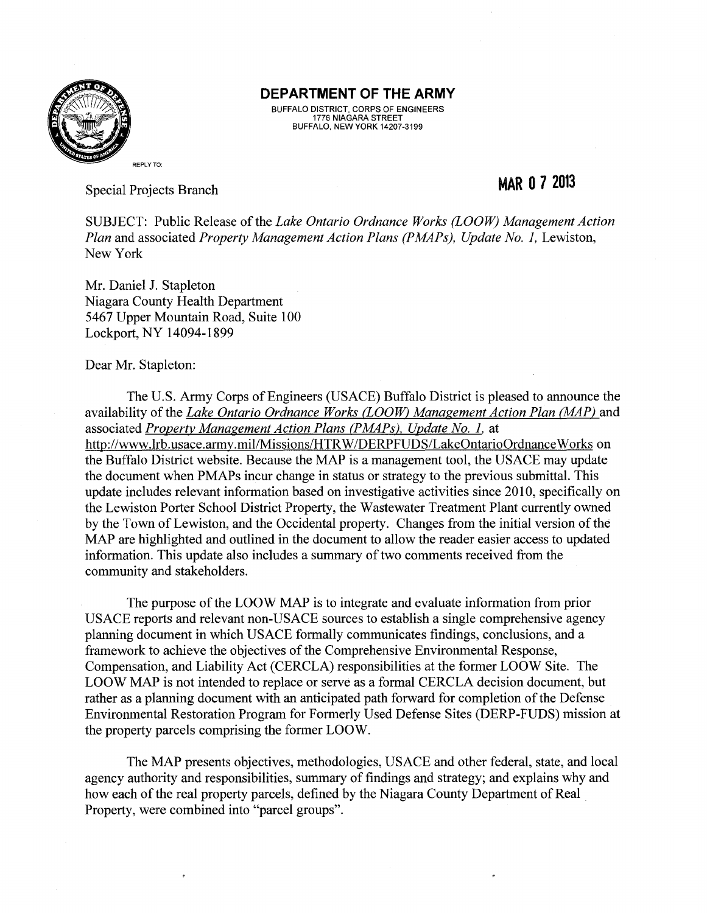

BUFFALO DISTRICT, CORPS OF ENGINEERS 1776 NIAGARA STREET BUFFALO, NEW YORK 14207-3199

Special Projects Branch

# **MAR 0 7 2013**

SUBJECT: Public Release of the *Lake Ontario Ordnance Works (LOOW) Management Action Plan and associated <i>Property Management Action Plans (PMAPs), Update No. 1, Lewiston,* New York

Mr. Daniel J. Stapleton Niagara County Health Department 5467 Upper Mountain Road, Suite 100 Lockport, NY 14094-1899

Dear Mr. Stapleton:

The U.S. Army Corps of Engineers (USACE) Buffalo District is pleased to announce the availability of the *Lake Ontario Ordnance Works (LOOW) Management Action Plan (MAP)* and associated *Property Management Action Plans (PMAPs). Update No. l,* at http://www.lrb.usace.army.mil/Missions/HTRW/DERPFUDS/LakeOntarioOrdnanceWorks on the Buffalo District website. Because the MAP is a management tool, the USACE may update the document when PMAPs incur change in status or strategy to the previous submittal. This update includes relevant information based on investigative activities since 2010, specifically on the Lewiston Porter School District Property, the Wastewater Treatment Plant currently owned by the Town of Lewiston, and the Occidental property. Changes from the initial version of the MAP are highlighted and outlined in the document to allow the reader easier access to updated information. This update also includes a summary of two comments received from the community and stakeholders.

The purpose of the LOOW MAP is to integrate and evaluate information from prior USACE reports and relevant non-USACE sources to establish a single comprehensive agency planning document in which USACE formally communicates findings, conclusions, and a framework to achieve the objectives of the Comprehensive Environmental Response, Compensation, and Liability Act (CERCLA) responsibilities at the former LOOW Site. The LOOW MAP is not intended to replace or serve as a formal CERCLA decision document, but rather as a planning document with an anticipated path forward for completion of the Defense Environmental Restoration Program for Formerly Used Defense Sites (DERP-FUDS) mission at the property parcels comprising the former LOOW.

The MAP presents objectives, methodologies, USACE and other federal, state, and local agency authority and responsibilities, summary of findings and strategy; and explains why and how each of the real property parcels, defined by the Niagara County Department of Real Property, were combined into "parcel groups".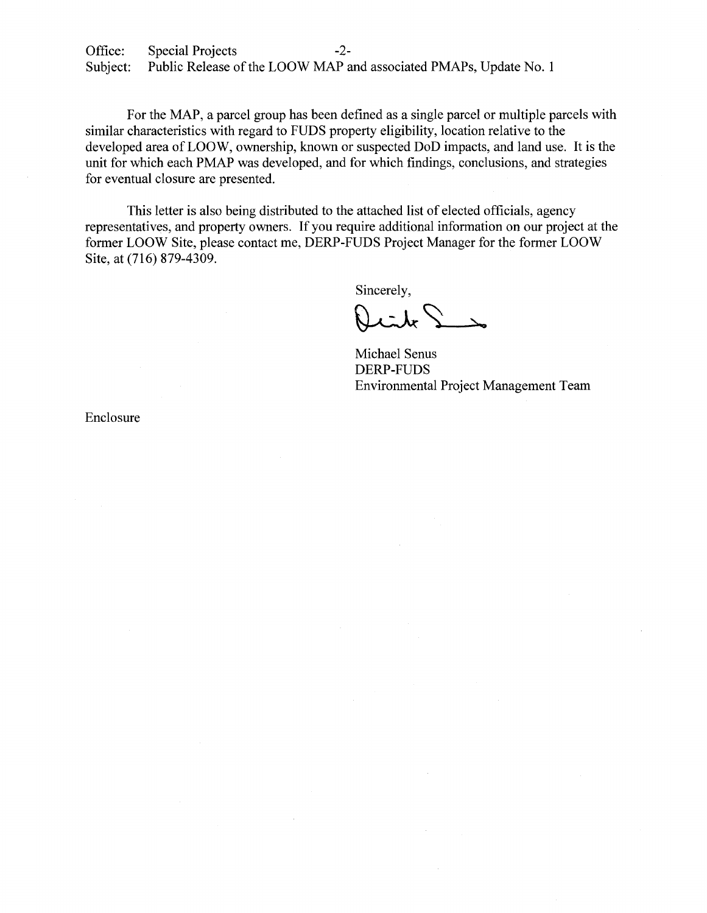Office: Special Projects -2-<br>Subject: Public Release of the LOOW MAP a Public Release of the LOOW MAP and associated PMAPs, Update No. 1

For the MAP, a parcel group has been defined as a single parcel or multiple parcels with similar characteristics with regard to FUDS property eligibility, location relative to the developed area of LOOW, ownership, known or suspected DoD impacts, and land use. It is the unit for which each PMAP was developed, and for which findings, conclusions, and strategies for eventual closure are presented.

This letter is also being distributed to the attached list of elected officials, agency representatives, and property owners. If you require additional information on our project at the former LOOW Site, please contact me, DERP-FUDS Project Manager for the former LOOW Site, at (716) 879-4309.

Sincerely,

Michael Senus DERP-FUDS Environmental Project Management Team

Enclosure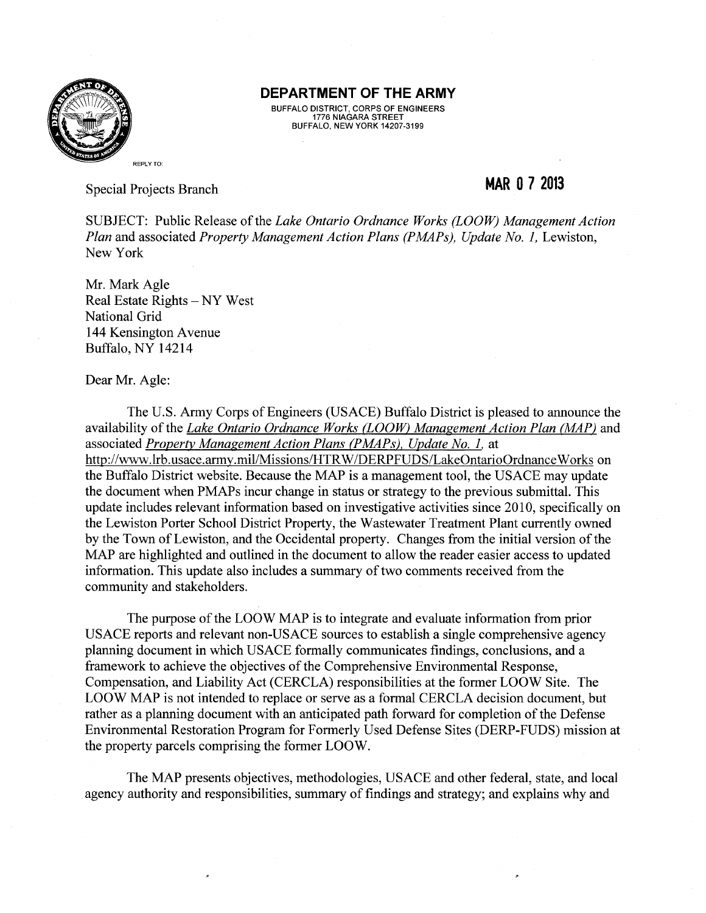

BUFFALO DISTRICT, CORPS OF ENGINEERS 1776 NIAGARA STREET BUFFALO, NEW YORK 14207-3199

Special Projects Branch

## **MAR 0 7 2013**

SUBJECT: Public Release of the *Lake Ontario Ordnance Works (LOOW) Management Action Plan and associated <i>Property Management Action Plans (PMAPs), Update No. 1, Lewiston,* New York

Mr. Mark Agle Real Estate Rights - NY West National Grid 144 Kensington Avenue Buffalo, NY 14214

Dear Mr. Agle:

The U.S. Army Corps of Engineers (USACE) Buffalo District is pleased to announce the availability of the *Lake Ontario Ordnance Works (LOOW) Management Action Plan (MAP)* and associated *Property Management Action Plans (PMAPs), Update No. l,* at http://www.lrb.usace.army.mil/Missions/HTRW/DERPFUDS/LakeOntarioOrdnanceWorks on the Buffalo District website. Because the MAP is a management tool, the USACE may update the document when PMAPs incur change in status or strategy to the previous submittal. This update includes relevant information based on investigative activities since 2010, specifically on the Lewiston Porter School District Property, the Wastewater Treatment Plant currently owned by the Town of Lewiston, and the Occidental property. Changes from the initial version of the MAP are highlighted and outlined in the document to allow the reader easier access to updated information. This update also includes a summary of two comments received from the community and stakeholders.

The purpose of the LOOW MAP is to integrate and evaluate information from prior USA CE reports and relevant non-USACE sources to establish a single comprehensive agency planning document in which USACE formally communicates findings, conclusions, and a framework to achieve the objectives of the Comprehensive Environmental Response, Compensation, and Liability Act (CERCLA) responsibilities at the former LOOW Site. The LOOW MAP is not intended to replace or serve as a formal CERCLA decision document, but rather as a planning document with an anticipated path forward for completion of the Defense Environmental Restoration Program for Formerly Used Defense Sites (DERP-FUDS) mission at the property parcels comprising the former LOOW.

The MAP presents objectives, methodologies, USACE and other federal, state, and local agency authority and responsibilities, summary of findings and strategy; and explains why and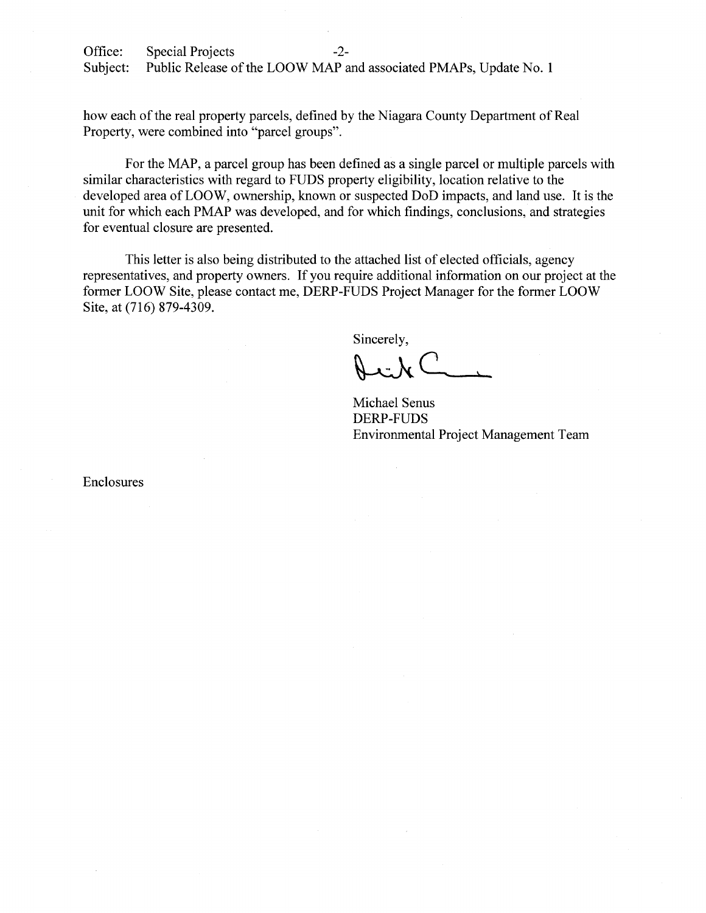Office: Special Projects -2-Subject: Public Release of the LOOW MAP and associated PMAPs, Update No. 1

how each of the real property parcels, defined by the Niagara County Department of Real Property, were combined into "parcel groups".

For the MAP, a parcel group has been defined as a single parcel or multiple parcels with similar characteristics with regard to FUDS property eligibility, location relative to the developed area of LOOW, ownership, known or suspected DoD impacts, and land use. It is the unit for which each PMAP was developed, and for which findings, conclusions, and strategies for eventual closure are presented.

This letter is also being distributed to the attached list of elected officials, agency representatives, and property owners. If you require additional information on our project at the former LOOW Site, please contact me, DERP-FUDS Project Manager for the former LOOW Site, at (716) 879-4309.

Sincerely,

Michael Senus DERP-FUDS Environmental Project Management Team

Enclosures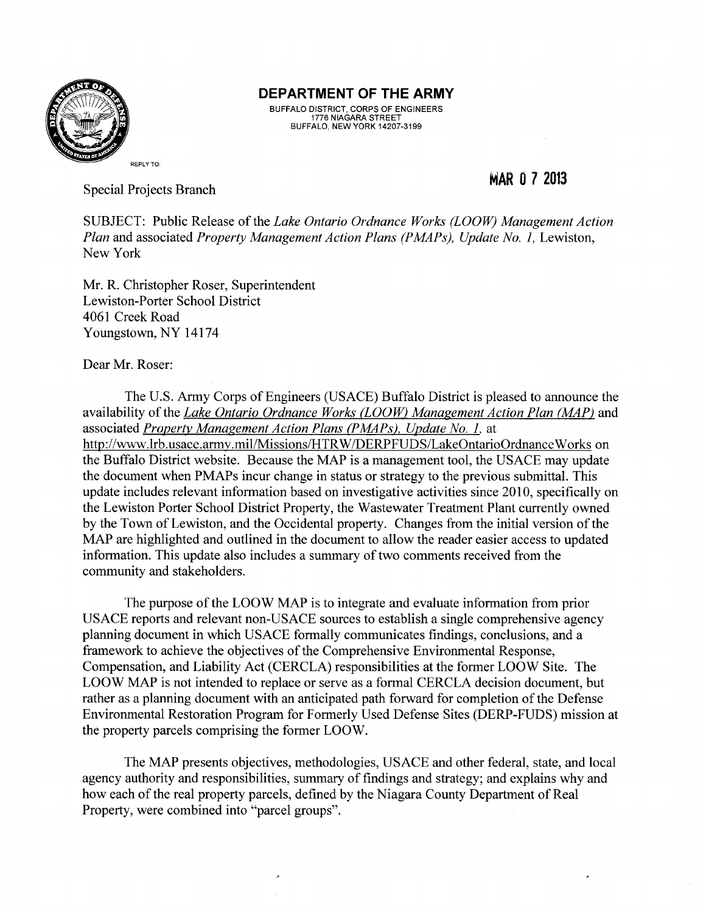

BUFFALO DISTRICT, CORPS OF ENGINEERS 1776 NIAGARA STREET BUFFALO, NEW YORK 14207-3199

Special Projects Branch

## **MAR 0 7 2013**

SUBJECT: Public Release of the *Lake Ontario Ordnance Works (LOOW) Management Action Plan and associated Property Management Action Plans (PMAPs), Update No. 1, Lewiston,* New York

Mr. R. Christopher Roser, Superintendent Lewiston-Porter School District 4061 Creek Road Youngstown, NY 14174

Dear Mr. Roser:

The U.S. Army Corps of Engineers (USACE) Buffalo District is pleased to announce the availability of the *Lake Ontario Ordnance Works (LOOW) Management Action Plan (MAP)* and associated *Property Management Action Plans (PMAPs). Update No. 1,* at http://www.lrb.usace.army.mil/Missions/HTRW/DERPFUDS/LakeOntarioOrdnanceWorks on the Buffalo District website. Because the MAP is a management tool, the USACE may update the document when PMAPs incur change in status or strategy to the previous submittal. This update includes relevant information based on investigative activities since 2010, specifically on the Lewiston Porter School District Property, the Wastewater Treatment Plant currently owned by the Town of Lewiston, and the Occidental property. Changes from the initial version of the MAP are highlighted and outlined in the document to allow the reader easier access to updated information. This update also includes a summary of two comments received from the community and stakeholders.

The purpose of the LOOW MAP is to integrate and evaluate information from prior USACE reports and relevant non-USACE sources to establish a single comprehensive agency planning document in which USACE formally communicates findings, conclusions, and a framework to achieve the objectives of the Comprehensive Environmental Response, Compensation, and Liability Act (CERCLA) responsibilities at the former LOOW Site. The LOOW MAP is not intended to replace or serve as a formal CERCLA decision document, but rather as a planning document with an anticipated path forward for completion of the Defense Environmental Restoration Program for Formerly Used Defense Sites (DERP-FUDS) mission at the property parcels comprising the former LOOW.

The MAP presents objectives, methodologies, USACE and other federal, state, and local agency authority and responsibilities, summary of findings and strategy; and explains why and how each of the real property parcels, defined by the Niagara County Department of Real Property, were combined into "parcel groups".